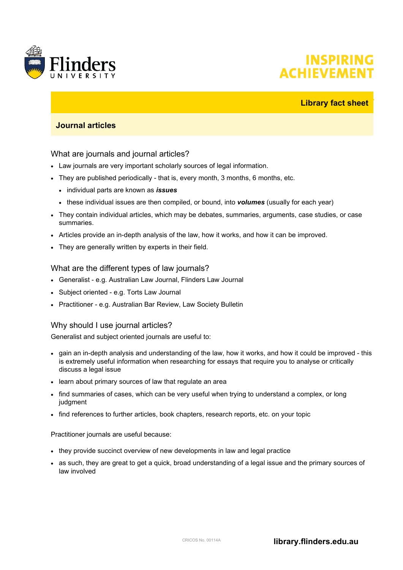

# **INSPIRING ACHIEVEME**

## **Library fact sheet**

# **Journal articles**

#### What are journals and journal articles?

- Law journals are very important scholarly sources of legal information.
- They are published periodically that is, every month, 3 months, 6 months, etc.
	- individual parts are known as *issues*
	- these individual issues are then compiled, or bound, into *volumes* (usually for each year)
- They contain individual articles, which may be debates, summaries, arguments, case studies, or case summaries.
- Articles provide an in-depth analysis of the law, how it works, and how it can be improved.
- They are generally written by experts in their field.

#### What are the different types of law journals?

- Generalist e.g. Australian Law Journal, Flinders Law Journal
- Subject oriented e.g. Torts Law Journal
- Practitioner e.g. Australian Bar Review, Law Society Bulletin

### Why should I use journal articles?

Generalist and subject oriented journals are useful to:

- gain an in-depth analysis and understanding of the law, how it works, and how it could be improved this is extremely useful information when researching for essays that require you to analyse or critically discuss a legal issue
- learn about primary sources of law that regulate an area
- find summaries of cases, which can be very useful when trying to understand a complex, or long judgment
- find references to further articles, book chapters, research reports, etc. on your topic

Practitioner journals are useful because:

- they provide succinct overview of new developments in law and legal practice
- as such, they are great to get a quick, broad understanding of a legal issue and the primary sources of law involved